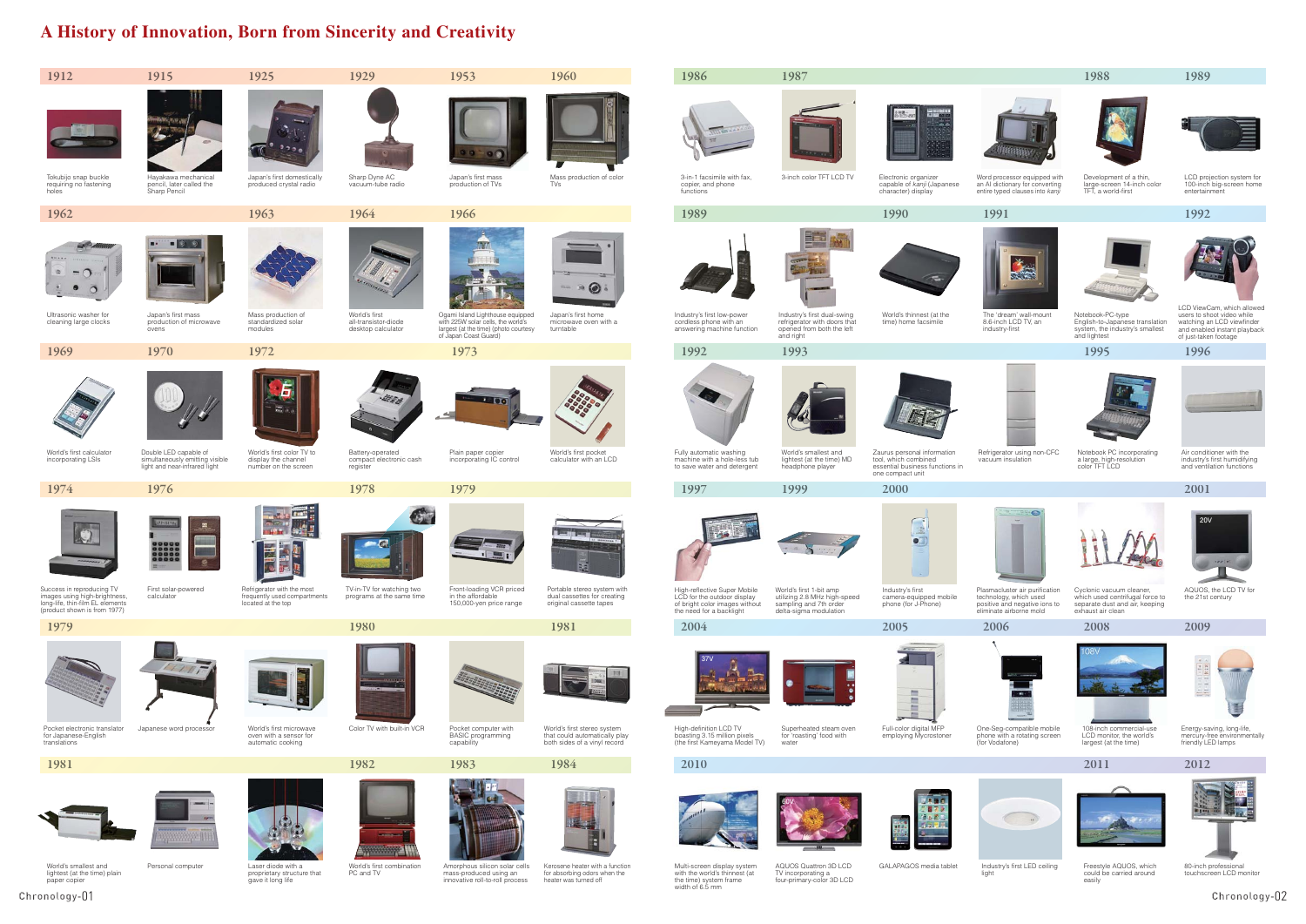# **A History of Innovation, Born from Sincerity and Creativity**

**2009**



**20V**

ی د



LCD ViewCam, which allowed users to shoot video while watching an LCD viewfinder and enabled instant playback of just-taken footage





The 'dream' wall-mount 8.6-inch LCD TV, an industry-first



Development of a thin,<br>large-screen 14-inch color<br>TFT, a world-first





Notebook-PC-type English-to-Japanese translation system, the industry's smallest and lightest



Cyclonic vacuum cleaner which used centrifugal force to separate dust and air, keeping exhaust air clean



108-inch commercial-use<br>LCD monitor, the world's largest (at the time)





GALAPAGOS media tablet Industry's first LED ceiling light



Refrigerator using non-CFC vacuum insulation



Notebook PC incorporating a large, high-resolution color TFT LCD



Air conditioner with the industry's first humidifying and ventilation functions

Personal computer **Laser** diode with a proprietary structure that gave it long life



Plasmacluster air purification technology, which used positive and negative ions to eliminate airborne mold

AQUOS, the LCD TV for the 21st century



One-Seg-compatible mobile phone with a rotating screen (for Vodafone)

Energy-saving, long-life, mercury-free environmentally friendly LED lamps

買

Multi-screen display system with the world's thinnest (at the time) system frame width of 6.5 mm

AQUOS Quattron 3D LCD TV incorporating a four-primary-color 3D LCD

Freestyle AQUOS, which could be carried around easily

80-inch professional touchscreen LCD monitor



Word processor equipped with an AI dictionary for converting entire typed clauses into *kanji*

LCD projection system for 100-inch big-screen home entertainment

World's smallest and lightest (at the time) plain paper copier

World's first combination PC and TV

Amorphous silicon solar cells mass-produced using an innovative roll-to-roll process

Kerosene heater with a function for absorbing odors when the heater was turned off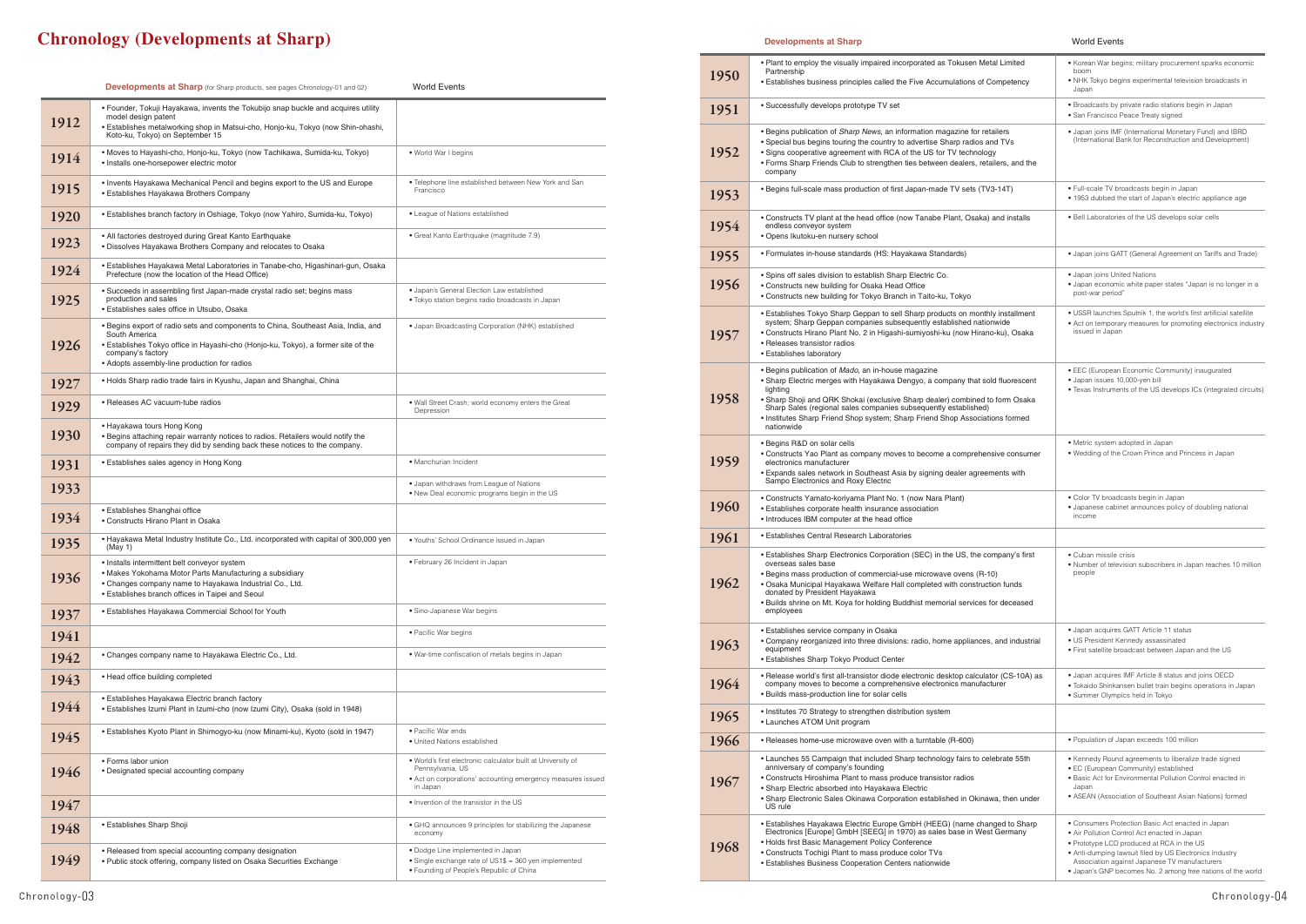# **Chronology (Developments at Sharp)**

|      | <b>Developments at Sharp</b> (for Sharp products, see pages Chronology-01 and 02)                                                                                                                                                                            | <b>World Events</b>                                                                                                                                         |
|------|--------------------------------------------------------------------------------------------------------------------------------------------------------------------------------------------------------------------------------------------------------------|-------------------------------------------------------------------------------------------------------------------------------------------------------------|
| 1912 | • Founder, Tokuji Hayakawa, invents the Tokubijo snap buckle and acquires utility<br>model design patent<br>· Establishes metalworking shop in Matsui-cho, Honjo-ku, Tokyo (now Shin-ohashi,<br>Koto-ku, Tokyo) on September 15                              |                                                                                                                                                             |
| 1914 | • Moves to Hayashi-cho, Honjo-ku, Tokyo (now Tachikawa, Sumida-ku, Tokyo)<br>· Installs one-horsepower electric motor                                                                                                                                        | . World War I begins                                                                                                                                        |
| 1915 | • Invents Hayakawa Mechanical Pencil and begins export to the US and Europe<br>• Establishes Hayakawa Brothers Company                                                                                                                                       | . Telephone line established between New York and San<br>Francisco                                                                                          |
| 1920 | • Establishes branch factory in Oshiage, Tokyo (now Yahiro, Sumida-ku, Tokyo)                                                                                                                                                                                | • League of Nations established                                                                                                                             |
| 1923 | • All factories destroyed during Great Kanto Earthquake<br>• Dissolves Hayakawa Brothers Company and relocates to Osaka                                                                                                                                      | • Great Kanto Earthquake (magnitude 7.9)                                                                                                                    |
| 1924 | • Establishes Hayakawa Metal Laboratories in Tanabe-cho, Higashinari-gun, Osaka<br>Prefecture (now the location of the Head Office)                                                                                                                          |                                                                                                                                                             |
| 1925 | • Succeeds in assembling first Japan-made crystal radio set; begins mass<br>production and sales<br>· Establishes sales office in Utsubo, Osaka                                                                                                              | · Japan's General Election Law established<br>· Tokyo station begins radio broadcasts in Japan                                                              |
| 1926 | • Begins export of radio sets and components to China, Southeast Asia, India, and<br>South America<br>· Establishes Tokyo office in Hayashi-cho (Honjo-ku, Tokyo), a former site of the<br>company's factory<br>• Adopts assembly-line production for radios | · Japan Broadcasting Corporation (NHK) established                                                                                                          |
| 1927 | • Holds Sharp radio trade fairs in Kyushu, Japan and Shanghai, China                                                                                                                                                                                         |                                                                                                                                                             |
| 1929 | • Releases AC vacuum-tube radios                                                                                                                                                                                                                             | . Wall Street Crash; world economy enters the Great<br>Depression                                                                                           |
| 1930 | • Hayakawa tours Hong Kong<br>. Begins attaching repair warranty notices to radios. Retailers would notify the<br>company of repairs they did by sending back these notices to the company.                                                                  |                                                                                                                                                             |
| 1931 | • Establishes sales agency in Hong Kong                                                                                                                                                                                                                      | • Manchurian Incident                                                                                                                                       |
| 1933 |                                                                                                                                                                                                                                                              | . Japan withdraws from League of Nations<br>. New Deal economic programs begin in the US                                                                    |
| 1934 | · Establishes Shanghai office<br>• Constructs Hirano Plant in Osaka                                                                                                                                                                                          |                                                                                                                                                             |
| 1935 | • Hayakawa Metal Industry Institute Co., Ltd. incorporated with capital of 300,000 yen<br>(May 1)                                                                                                                                                            | • Youths' School Ordinance issued in Japan                                                                                                                  |
| 1936 | • Installs intermittent belt conveyor system<br>• Makes Yokohama Motor Parts Manufacturing a subsidiary<br>• Changes company name to Hayakawa Industrial Co., Ltd.<br>• Establishes branch offices in Taipei and Seoul                                       | • February 26 Incident in Japan                                                                                                                             |
| 1937 | • Establishes Hayakawa Commercial School for Youth                                                                                                                                                                                                           | • Sino-Japanese War begins                                                                                                                                  |
| 1941 |                                                                                                                                                                                                                                                              | • Pacific War begins                                                                                                                                        |
| 1942 | • Changes company name to Hayakawa Electric Co., Ltd.                                                                                                                                                                                                        | • War-time confiscation of metals begins in Japan                                                                                                           |
| 1943 | • Head office building completed                                                                                                                                                                                                                             |                                                                                                                                                             |
| 1944 | • Establishes Hayakawa Electric branch factory<br>• Establishes Izumi Plant in Izumi-cho (now Izumi City), Osaka (sold in 1948)                                                                                                                              |                                                                                                                                                             |
| 1945 | • Establishes Kyoto Plant in Shimogyo-ku (now Minami-ku), Kyoto (sold in 1947)                                                                                                                                                                               | • Pacific War ends<br>· United Nations established                                                                                                          |
| 1946 | • Forms labor union<br>• Designated special accounting company                                                                                                                                                                                               | . World's first electronic calculator built at University of<br>Pennsylvania, US<br>• Act on corporations' accounting emergency measures issued<br>in Japan |
| 1947 |                                                                                                                                                                                                                                                              | . Invention of the transistor in the US                                                                                                                     |
| 1948 | • Establishes Sharp Shoji                                                                                                                                                                                                                                    | • GHQ announces 9 principles for stabilizing the Japanese<br>economy                                                                                        |
| 1949 | • Released from special accounting company designation<br>• Public stock offering, company listed on Osaka Securities Exchange                                                                                                                               | · Dodge Line implemented in Japan<br>• Single exchange rate of US1\$ = 360 yen implemented<br>• Founding of People's Republic of China                      |

## **Developments at Sharp**

| 1950 | . Plant to employ the visually impaired incorporated as Tokusen Metal Limited<br>Partnership                                                                                                                                                                                                                                                                                                     | • Korean War begins; military procurement sparks economic<br>boom<br>. NHK Tokyo begins experimental television broadcasts in                                                                                                                                                                                             |
|------|--------------------------------------------------------------------------------------------------------------------------------------------------------------------------------------------------------------------------------------------------------------------------------------------------------------------------------------------------------------------------------------------------|---------------------------------------------------------------------------------------------------------------------------------------------------------------------------------------------------------------------------------------------------------------------------------------------------------------------------|
|      | • Establishes business principles called the Five Accumulations of Competency                                                                                                                                                                                                                                                                                                                    | Japan                                                                                                                                                                                                                                                                                                                     |
| 1951 | • Successfully develops prototype TV set                                                                                                                                                                                                                                                                                                                                                         | · Broadcasts by private radio stations begin in Japan<br>• San Francisco Peace Treaty signed                                                                                                                                                                                                                              |
| 1952 | • Begins publication of Sharp News, an information magazine for retailers<br>. Special bus begins touring the country to advertise Sharp radios and TVs<br>• Signs cooperative agreement with RCA of the US for TV technology<br>• Forms Sharp Friends Club to strengthen ties between dealers, retailers, and the<br>company                                                                    | . Japan joins IMF (International Monetary Fund) and IBRD<br>(International Bank for Reconstruction and Development)                                                                                                                                                                                                       |
| 1953 | . Begins full-scale mass production of first Japan-made TV sets (TV3-14T)                                                                                                                                                                                                                                                                                                                        | · Full-scale TV broadcasts begin in Japan<br>• 1953 dubbed the start of Japan's electric appliance age                                                                                                                                                                                                                    |
| 1954 | • Constructs TV plant at the head office (now Tanabe Plant, Osaka) and installs<br>endless conveyor system<br>• Opens Ikutoku-en nursery school                                                                                                                                                                                                                                                  | . Bell Laboratories of the US develops solar cells                                                                                                                                                                                                                                                                        |
| 1955 | • Formulates in-house standards (HS: Hayakawa Standards)                                                                                                                                                                                                                                                                                                                                         | • Japan joins GATT (General Agreement on Tariffs and Trade)                                                                                                                                                                                                                                                               |
| 1956 | . Spins off sales division to establish Sharp Electric Co.<br>• Constructs new building for Osaka Head Office<br>• Constructs new building for Tokyo Branch in Taito-ku, Tokyo                                                                                                                                                                                                                   | · Japan joins United Nations<br>• Japan economic white paper states "Japan is no longer in a<br>post-war period"                                                                                                                                                                                                          |
| 1957 | • Establishes Tokyo Sharp Geppan to sell Sharp products on monthly installment<br>system; Sharp Geppan companies subsequently established nationwide<br>• Constructs Hirano Plant No. 2 in Higashi-sumiyoshi-ku (now Hirano-ku), Osaka<br>• Releases transistor radios<br>• Establishes laboratory                                                                                               | . USSR launches Sputnik 1, the world's first artificial satellite<br>• Act on temporary measures for promoting electronics industry<br>issued in Japan                                                                                                                                                                    |
| 1958 | • Begins publication of Mado, an in-house magazine<br>• Sharp Electric merges with Hayakawa Dengyo, a company that sold fluorescent<br>lighting<br>• Sharp Shoji and QRK Shokai (exclusive Sharp dealer) combined to form Osaka<br>Sharp Sales (regional sales companies subsequently established)<br>. Institutes Sharp Friend Shop system; Sharp Friend Shop Associations formed<br>nationwide | • EEC (European Economic Community) inaugurated<br>· Japan issues 10,000-yen bill<br>• Texas Instruments of the US develops ICs (integrated circuits)                                                                                                                                                                     |
| 1959 | • Begins R&D on solar cells<br>• Constructs Yao Plant as company moves to become a comprehensive consumer<br>electronics manufacturer<br>• Expands sales network in Southeast Asia by signing dealer agreements with<br>Sampo Electronics and Roxy Electric                                                                                                                                      | · Metric system adopted in Japan<br>. Wedding of the Crown Prince and Princess in Japan                                                                                                                                                                                                                                   |
| 1960 | • Constructs Yamato-koriyama Plant No. 1 (now Nara Plant)<br>• Establishes corporate health insurance association<br>• Introduces IBM computer at the head office                                                                                                                                                                                                                                | • Color TV broadcasts begin in Japan<br>• Japanese cabinet announces policy of doubling national<br>income                                                                                                                                                                                                                |
| 1961 | • Establishes Central Research Laboratories                                                                                                                                                                                                                                                                                                                                                      |                                                                                                                                                                                                                                                                                                                           |
| 1962 | • Establishes Sharp Electronics Corporation (SEC) in the US, the company's first<br>overseas sales base<br>• Begins mass production of commercial-use microwave ovens (R-10)<br>. Osaka Municipal Hayakawa Welfare Hall completed with construction funds<br>donated by President Hayakawa<br>• Builds shrine on Mt. Koya for holding Buddhist memorial services for deceased<br>employees       | • Cuban missile crisis<br>• Number of television subscribers in Japan reaches 10 million<br>people                                                                                                                                                                                                                        |
| 1963 | • Establishes service company in Osaka<br>• Company reorganized into three divisions: radio, home appliances, and industrial<br>equipment<br>• Establishes Sharp Tokyo Product Center                                                                                                                                                                                                            | • Japan acquires GATT Article 11 status<br>• US President Kennedy assassinated<br>. First satellite broadcast between Japan and the US                                                                                                                                                                                    |
| 1964 | • Release world's first all-transistor diode electronic desktop calculator (CS-10A) as<br>company moves to become a comprehensive electronics manufacturer<br>. Builds mass-production line for solar cells                                                                                                                                                                                      | . Japan acquires IMF Article 8 status and joins OECD<br>· Tokaido Shinkansen bullet train begins operations in Japan<br>• Summer Olympics held in Tokyo                                                                                                                                                                   |
| 1965 | • Institutes 70 Strategy to strengthen distribution system<br>• Launches ATOM Unit program                                                                                                                                                                                                                                                                                                       |                                                                                                                                                                                                                                                                                                                           |
| 1966 | • Releases home-use microwave oven with a turntable (R-600)                                                                                                                                                                                                                                                                                                                                      | · Population of Japan exceeds 100 million                                                                                                                                                                                                                                                                                 |
| 1967 | • Launches 55 Campaign that included Sharp technology fairs to celebrate 55th<br>anniversary of company's founding<br>• Constructs Hiroshima Plant to mass produce transistor radios<br>• Sharp Electric absorbed into Hayakawa Electric<br>• Sharp Electronic Sales Okinawa Corporation established in Okinawa, then under<br>US rule                                                           | • Kennedy Round agreements to liberalize trade signed<br>• EC (European Community) established<br>. Basic Act for Environmental Pollution Control enacted in<br>Japan<br>• ASEAN (Association of Southeast Asian Nations) formed                                                                                          |
| 1968 | • Establishes Hayakawa Electric Europe GmbH (HEEG) (name changed to Sharp<br>Electronics [Europe] GmbH [SEEG] in 1970) as sales base in West Germany<br>• Holds first Basic Management Policy Conference<br>• Constructs Tochigi Plant to mass produce color TVs<br>• Establishes Business Cooperation Centers nationwide                                                                        | • Consumers Protection Basic Act enacted in Japan<br>• Air Pollution Control Act enacted in Japan<br>• Prototype LCD produced at RCA in the US<br>• Anti-dumping lawsuit filed by US Electronics Industry<br>Association against Japanese TV manufacturers<br>. Janan's GNP becomes No. 2 among free nations of the world |

## **World Events**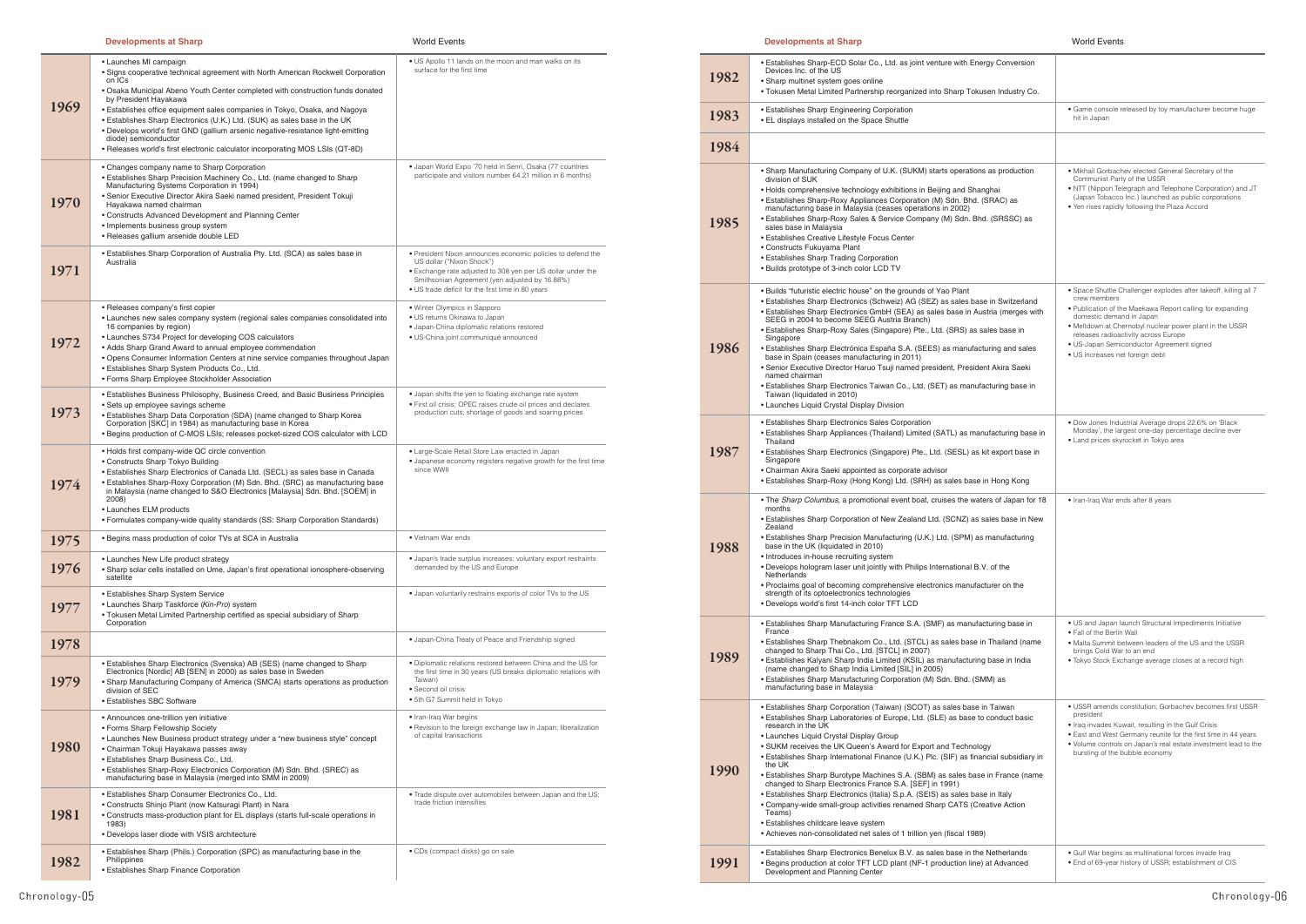## **Developments at Sharp**

**World Events** 

## **Developments at Sharp**

| 1969 | • Launches MI campaign<br>• Signs cooperative technical agreement with North American Rockwell Corporation<br>on ICs<br>• Osaka Municipal Abeno Youth Center completed with construction funds donated<br>by President Hayakawa<br>• Establishes office equipment sales companies in Tokyo, Osaka, and Nagoya<br>. Establishes Sharp Electronics (U.K.) Ltd. (SUK) as sales base in the UK<br>• Develops world's first GND (gallium arsenic negative-resistance light-emitting<br>diode) semiconductor<br>• Releases world's first electronic calculator incorporating MOS LSIs (QT-8D) | . US Apollo 11 lands on the moon and man walks on its<br>surface for the first time                                                                                                                                                                            |
|------|-----------------------------------------------------------------------------------------------------------------------------------------------------------------------------------------------------------------------------------------------------------------------------------------------------------------------------------------------------------------------------------------------------------------------------------------------------------------------------------------------------------------------------------------------------------------------------------------|----------------------------------------------------------------------------------------------------------------------------------------------------------------------------------------------------------------------------------------------------------------|
| 1970 | • Changes company name to Sharp Corporation<br>• Establishes Sharp Precision Machinery Co., Ltd. (name changed to Sharp)<br>Manufacturing Systems Corporation in 1994)<br>• Senior Executive Director Akira Saeki named president, President Tokuji<br>Hayakawa named chairman<br>• Constructs Advanced Development and Planning Center<br>• Implements business group system<br>• Releases gallium arsenide double LED                                                                                                                                                                 | · Japan World Expo '70 held in Senri, Osaka (77 countries<br>participate and visitors number 64.21 million in 6 months)                                                                                                                                        |
| 1971 | • Establishes Sharp Corporation of Australia Pty. Ltd. (SCA) as sales base in<br>Australia                                                                                                                                                                                                                                                                                                                                                                                                                                                                                              | . President Nixon announces economic policies to defend the<br>US dollar ("Nixon Shock")<br>· Exchange rate adjusted to 308 yen per US dollar under the<br>Smithsonian Agreement (yen adjusted by 16.88%)<br>• US trade deficit for the first time in 80 years |
| 1972 | • Releases company's first copier<br>• Launches new sales company system (regional sales companies consolidated into<br>16 companies by region)<br>• Launches S734 Project for developing COS calculators<br>• Adds Sharp Grand Award to annual employee commendation<br>• Opens Consumer Information Centers at nine service companies throughout Japan<br>· Establishes Sharp System Products Co., Ltd.<br>• Forms Sharp Employee Stockholder Association                                                                                                                             | • Winter Olympics in Sapporo<br>· US returns Okinawa to Japan<br>· Japan-China diplomatic relations restored<br>· US-China joint communiqué announced                                                                                                          |
| 1973 | • Establishes Business Philosophy, Business Creed, and Basic Business Principles<br>• Sets up employee savings scheme<br>• Establishes Sharp Data Corporation (SDA) (name changed to Sharp Korea<br>Corporation [SKC] in 1984) as manufacturing base in Korea<br>. Begins production of C-MOS LSIs; releases pocket-sized COS calculator with LCD                                                                                                                                                                                                                                       | • Japan shifts the yen to floating exchange rate system<br>· First oil crisis; OPEC raises crude oil prices and declares<br>production cuts; shortage of goods and soaring prices                                                                              |
| 1974 | • Holds first company-wide QC circle convention<br>• Constructs Sharp Tokyo Building<br>• Establishes Sharp Electronics of Canada Ltd. (SECL) as sales base in Canada<br>• Establishes Sharp-Roxy Corporation (M) Sdn. Bhd. (SRC) as manufacturing base<br>in Malaysia (name changed to S&O Electronics [Malaysia] Sdn. Bhd. [SOEM] in<br>2008)<br>• Launches ELM products<br>• Formulates company-wide quality standards (SS: Sharp Corporation Standards)                                                                                                                             | • Large-Scale Retail Store Law enacted in Japan<br>• Japanese economy registers negative growth for the first time<br>since WWII                                                                                                                               |
| 1975 | • Begins mass production of color TVs at SCA in Australia                                                                                                                                                                                                                                                                                                                                                                                                                                                                                                                               | • Vietnam War ends                                                                                                                                                                                                                                             |
| 1976 | • Launches New Life product strategy<br>• Sharp solar cells installed on Ume, Japan's first operational ionosphere-observing<br>satellite                                                                                                                                                                                                                                                                                                                                                                                                                                               | · Japan's trade surplus increases; voluntary export restraints<br>demanded by the US and Europe                                                                                                                                                                |
| 1977 | • Establishes Sharp System Service<br>• Launches Sharp Taskforce (Kin-Pro) system<br>• Tokusen Metal Limited Partnership certified as special subsidiary of Sharp<br>Corporation                                                                                                                                                                                                                                                                                                                                                                                                        | . Japan voluntarily restrains exports of color TVs to the US                                                                                                                                                                                                   |
| 1978 |                                                                                                                                                                                                                                                                                                                                                                                                                                                                                                                                                                                         | . Japan-China Treaty of Peace and Friendship signed                                                                                                                                                                                                            |
| 1979 | • Establishes Sharp Electronics (Svenska) AB (SES) (name changed to Sharp<br>Electronics [Nordic] AB [SEN] in 2000) as sales base in Sweden<br>• Sharp Manufacturing Company of America (SMCA) starts operations as production<br>division of SEC<br>• Establishes SBC Software                                                                                                                                                                                                                                                                                                         | . Diplomatic relations restored between China and the US for<br>the first time in 30 years (US breaks diplomatic relations with<br>Taiwan)<br>• Second oil crisis<br>• 5th G7 Summit held in Tokyo                                                             |
| 1980 | • Announces one-trillion yen initiative<br>• Forms Sharp Fellowship Society<br>• Launches New Business product strategy under a "new business style" concept<br>• Chairman Tokuji Hayakawa passes away<br>· Establishes Sharp Business Co., Ltd.<br>• Establishes Sharp-Roxy Electronics Corporation (M) Sdn. Bhd. (SREC) as<br>manufacturing base in Malaysia (merged into SMM in 2009)                                                                                                                                                                                                | • Iran-Iraq War begins<br>. Revision to the foreign exchange law in Japan; liberalization<br>of capital transactions                                                                                                                                           |
| 1981 | • Establishes Sharp Consumer Electronics Co., Ltd.<br>• Constructs Shinjo Plant (now Katsuragi Plant) in Nara<br>• Constructs mass-production plant for EL displays (starts full-scale operations in<br>1983)<br>• Develops laser diode with VSIS architecture                                                                                                                                                                                                                                                                                                                          | . Trade dispute over automobiles between Japan and the US;<br>trade friction intensifies                                                                                                                                                                       |
| 1982 | • Establishes Sharp (Phils.) Corporation (SPC) as manufacturing base in the<br>Philippines<br>• Establishes Sharp Finance Corporation                                                                                                                                                                                                                                                                                                                                                                                                                                                   | • CDs (compact disks) go on sale                                                                                                                                                                                                                               |

|      | • Establishes Sharp-ECD Solar Co., Ltd. as joint venture with Energ<br>Devices Inc. of the US                                                                                                                                                                                                                                                                                                                                                                                                                                                                                                                                                                                                                                                                         |
|------|-----------------------------------------------------------------------------------------------------------------------------------------------------------------------------------------------------------------------------------------------------------------------------------------------------------------------------------------------------------------------------------------------------------------------------------------------------------------------------------------------------------------------------------------------------------------------------------------------------------------------------------------------------------------------------------------------------------------------------------------------------------------------|
| 1982 | • Sharp multinet system goes online<br>• Tokusen Metal Limited Partnership reorganized into Sharp Tokuse                                                                                                                                                                                                                                                                                                                                                                                                                                                                                                                                                                                                                                                              |
| 1983 | • Establishes Sharp Engineering Corporation<br>• EL displays installed on the Space Shuttle                                                                                                                                                                                                                                                                                                                                                                                                                                                                                                                                                                                                                                                                           |
| 1984 |                                                                                                                                                                                                                                                                                                                                                                                                                                                                                                                                                                                                                                                                                                                                                                       |
| 1985 | • Sharp Manufacturing Company of U.K. (SUKM) starts operations a<br>division of SUK<br>• Holds comprehensive technology exhibitions in Beijing and Shangl<br>• Establishes Sharp-Roxy Appliances Corporation (M) Sdn. Bhd. (SI<br>manufacturing base in Malaysia (ceases operations in 2002)<br>• Establishes Sharp-Roxy Sales & Service Company (M) Sdn. Bhd.<br>sales base in Malaysia<br>• Establishes Creative Lifestyle Focus Center<br>• Constructs Fukuyama Plant<br>• Establishes Sharp Trading Corporation<br>. Builds prototype of 3-inch color LCD TV                                                                                                                                                                                                      |
| 1986 | • Builds "futuristic electric house" on the grounds of Yao Plant<br>• Establishes Sharp Electronics (Schweiz) AG (SEZ) as sales base i<br>• Establishes Sharp Electronics GmbH (SEA) as sales base in Austr<br>SEEG in 2004 to become SEEG Austria Branch)<br>• Establishes Sharp-Roxy Sales (Singapore) Pte., Ltd. (SRS) as sale<br>Singapore<br>· Establishes Sharp Electrónica España S.A. (SEES) as manufactur<br>base in Spain (ceases manufacturing in 2011)<br>• Senior Executive Director Haruo Tsuji named president, President<br>named chairman<br>· Establishes Sharp Electronics Taiwan Co., Ltd. (SET) as manufact<br>Taiwan (liquidated in 2010)<br>• Launches Liquid Crystal Display Division                                                         |
| 1987 | • Establishes Sharp Electronics Sales Corporation<br>• Establishes Sharp Appliances (Thailand) Limited (SATL) as manuf<br>Thailand<br>• Establishes Sharp Electronics (Singapore) Pte., Ltd. (SESL) as kit<br>Singapore<br>• Chairman Akira Saeki appointed as corporate advisor<br>• Establishes Sharp-Roxy (Hong Kong) Ltd. (SRH) as sales base in                                                                                                                                                                                                                                                                                                                                                                                                                  |
| 1988 | • The Sharp Columbus, a promotional event boat, cruises the waters<br>months<br>• Establishes Sharp Corporation of New Zealand Ltd. (SCNZ) as sal<br>Zealand<br>• Establishes Sharp Precision Manufacturing (U.K.) Ltd. (SPM) as m<br>base in the UK (liquidated in 2010)<br>• Introduces in-house recruiting system<br>. Develops hologram laser unit jointly with Philips International B.V.<br>Netherlands<br>• Proclaims goal of becoming comprehensive electronics manufactu<br>strength of its optoelectronics technologies<br>· Develops world's first 14-inch color TFT LCD                                                                                                                                                                                   |
| 1989 | • Establishes Sharp Manufacturing France S.A. (SMF) as manufactu<br>France<br>• Establishes Sharp Thebnakorn Co., Ltd. (STCL) as sales base in 7<br>changed to Sharp Thai Co., Ltd. [STCL] in 2007)<br>• Establishes Kalyani Sharp India Limited (KSIL) as manufacturing b<br>(name changed to Sharp India Limited [SIL] in 2005)<br>· Establishes Sharp Manufacturing Corporation (M) Sdn. Bhd. (SMN<br>manufacturing base in Malaysia                                                                                                                                                                                                                                                                                                                               |
| 1990 | . Establishes Sharp Corporation (Taiwan) (SCOT) as sales base in<br>• Establishes Sharp Laboratories of Europe, Ltd. (SLE) as base to c<br>research in the UK<br>• Launches Liquid Crystal Display Group<br>• SUKM receives the UK Queen's Award for Export and Technology<br>• Establishes Sharp International Finance (U.K.) Plc. (SIF) as financ<br>the UK<br>• Establishes Sharp Burotype Machines S.A. (SBM) as sales base ir<br>changed to Sharp Electronics France S.A. [SEF] in 1991)<br>• Establishes Sharp Electronics (Italia) S.p.A. (SEIS) as sales base i<br>• Company-wide small-group activities renamed Sharp CATS (Creat<br>Teams)<br>• Establishes childcare leave system<br>• Achieves non-consolidated net sales of 1 trillion yen (fiscal 1989) |
| 1991 | • Establishes Sharp Electronics Benelux B.V. as sales base in the N<br>• Begins production at color TFT LCD plant (NF-1 production line) at<br>Development and Planning Center                                                                                                                                                                                                                                                                                                                                                                                                                                                                                                                                                                                        |

| gy Conversion                                                                                           |                                                                                                                                                                                                                                                                                                                                                              |
|---------------------------------------------------------------------------------------------------------|--------------------------------------------------------------------------------------------------------------------------------------------------------------------------------------------------------------------------------------------------------------------------------------------------------------------------------------------------------------|
| en Industry Co.                                                                                         |                                                                                                                                                                                                                                                                                                                                                              |
|                                                                                                         | · Game console released by toy manufacturer become huge<br>hit in Japan                                                                                                                                                                                                                                                                                      |
|                                                                                                         |                                                                                                                                                                                                                                                                                                                                                              |
| as production<br>,hai<br>RAC) as<br>. (SRSSC) as                                                        | · Mikhail Gorbachev elected General Secretary of the<br>Communist Party of the USSR<br>. NTT (Nippon Telegraph and Telephone Corporation) and JT<br>(Japan Tobacco Inc.) launched as public corporations<br>. Yen rises rapidly following the Plaza Accord                                                                                                   |
| in Switzerland<br>tria (merges with<br>les base in<br>ring and sales<br>t Akira Saeki<br>turing base in | · Space Shuttle Challenger explodes after takeoff, killing all 7<br>crew members<br>. Publication of the Maekawa Report calling for expanding<br>domestic demand in Japan<br>. Meltdown at Chernobyl nuclear power plant in the USSR<br>releases radioactivity across Europe<br>· US-Japan Semiconductor Agreement signed<br>• US increases net foreign debt |
| ifacturing base in<br>t export base in<br>ı Hong Kong                                                   | · Dow Jones Industrial Average drops 22.6% on 'Black<br>Monday', the largest one-day percentage decline ever<br>· Land prices skyrocket in Tokyo area                                                                                                                                                                                                        |
| rs of Japan for 18<br>lles base in New<br>nanufacturing<br>of the<br>urer on the                        | • Iran-Iraq War ends after 8 years                                                                                                                                                                                                                                                                                                                           |
| uring base in:<br>Thailand (name<br>base in India<br>VI) as                                             | • US and Japan launch Structural Impediments Initiative<br>. Fall of the Berlin Wall<br>. Malta Summit between leaders of the US and the USSR<br>brings Cold War to an end<br>• Tokyo Stock Exchange average closes at a record high                                                                                                                         |
| Taiwan<br>conduct basic<br>cial subsidiary in<br>in France (name<br>in Italy<br>ative Action            | · USSR amends constitution; Gorbachev becomes first USSR<br>president<br>• Iraq invades Kuwait, resulting in the Gulf Crisis<br>. East and West Germany reunite for the first time in 44 years<br>• Volume controls on Japan's real estate investment lead to the<br>bursting of the bubble economy                                                          |
| Netherlands<br>at Advanced                                                                              | • Gulf War begins as multinational forces invade Iraq<br>• End of 69-year history of USSR; establishment of CIS                                                                                                                                                                                                                                              |